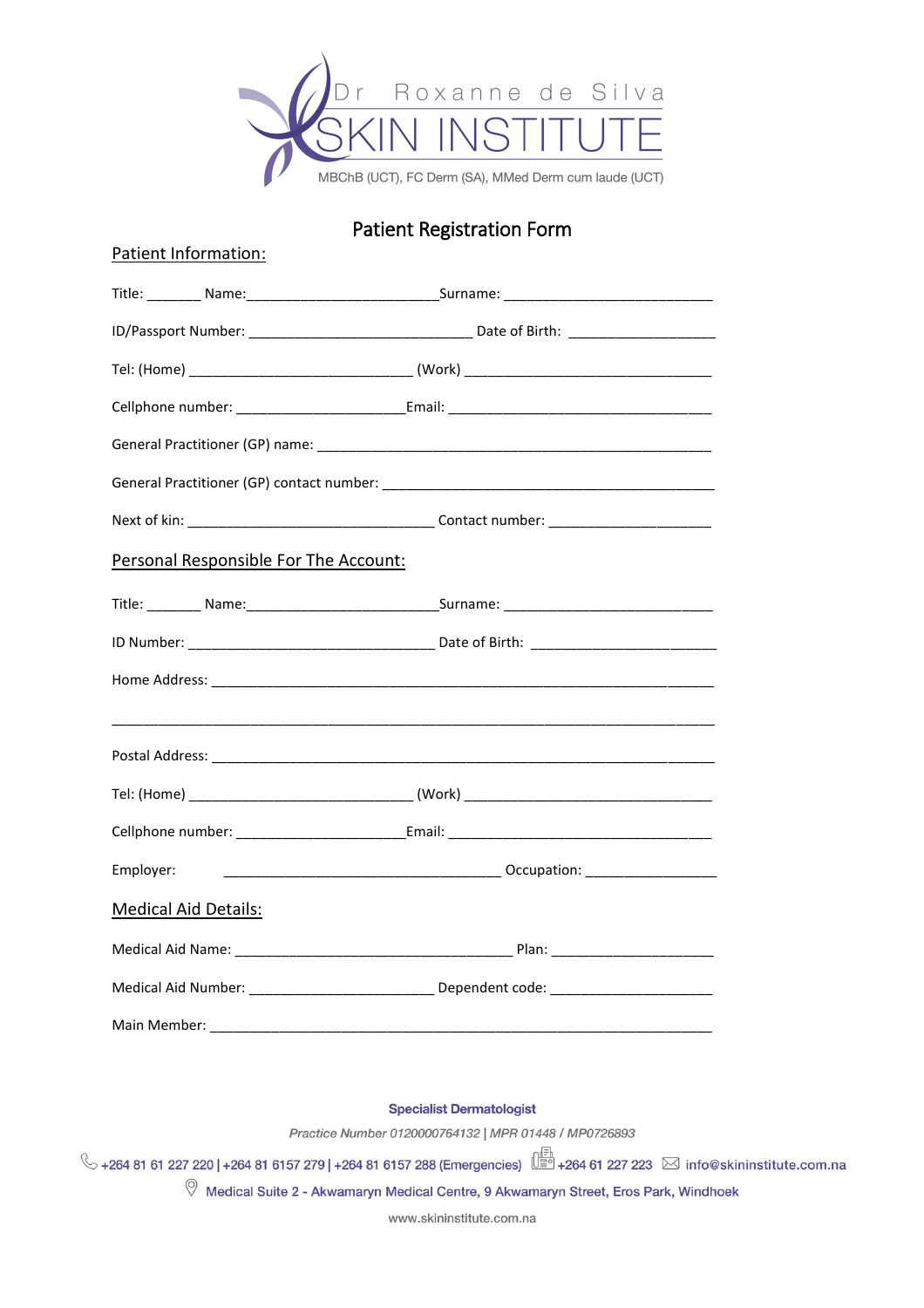

## **Patient Registration Form**

| Patient Information:                  |                                                                                                      |
|---------------------------------------|------------------------------------------------------------------------------------------------------|
|                                       | Title: _________ Name: __________________________________Surname: __________________________________ |
|                                       |                                                                                                      |
|                                       |                                                                                                      |
|                                       |                                                                                                      |
|                                       |                                                                                                      |
|                                       |                                                                                                      |
|                                       |                                                                                                      |
| Personal Responsible For The Account: |                                                                                                      |
|                                       | Title: _________ Name: __________________________________Surname: __________________________________ |
|                                       |                                                                                                      |
|                                       |                                                                                                      |
|                                       |                                                                                                      |
|                                       |                                                                                                      |
|                                       |                                                                                                      |
|                                       |                                                                                                      |
| Employer:                             |                                                                                                      |
| <b>Medical Aid Details:</b>           |                                                                                                      |
|                                       |                                                                                                      |
|                                       | Medical Aid Number: __________________________________ Dependent code: ____________________________  |
|                                       |                                                                                                      |
|                                       |                                                                                                      |

**Specialist Dermatologist** 

Practice Number 0120000764132 | MPR 01448 / MP0726893

V +264 81 61 227 220 | +264 81 6157 279 | +264 81 6157 288 (Emergencies)  $\frac{1}{2}$  +264 61 227 223 ⊠ info@skininstitute.com.na

 $\heartsuit$  Medical Suite 2 - Akwamaryn Medical Centre, 9 Akwamaryn Street, Eros Park, Windhoek

www.skininstitute.com.na